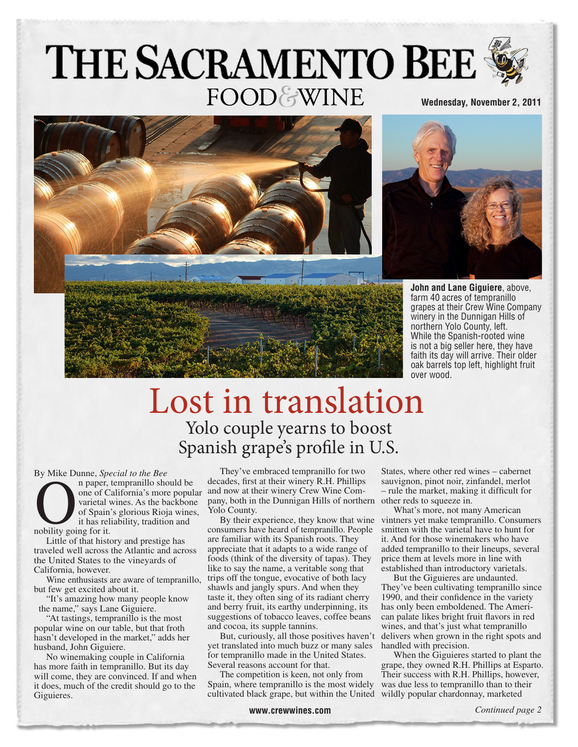# THE SACRAMENTO BEE **FOOD&WINE Wednesday, November 2, 2011**





**John and Lane Giguiere**, above, farm 40 acres of tempranillo grapes at their Crew Wine Company winery in the Dunnigan Hills of northern Yolo County, left. While the Spanish-rooted wine is not a big seller here, they have faith its day will arrive. Their older oak barrels top left, highlight fruit over wood.

## Lost in translation Yolo couple yearns to boost Spanish grape's profile in U.S.

By Mike Dunne, *Special to the Bee*

n paper, tempranillo should be varietal wines. As the backbone of Spain's glorious Rioja wines, it has reliability, tradition and n paper,<br>
one of C<br>
varietal<br>
of Spain<br>
it has rel

Little of that history and prestige has traveled well across the Atlantic and across the United States to the vineyards of California, however.

Wine enthusiasts are aware of tempranillo, but few get excited about it.

"It's amazing how many people know the name," says Lane Giguiere.

"At tastings, tempranillo is the most popular wine on our table, but that froth hasn't developed in the market," adds her husband, John Giguiere.

No winemaking couple in California has more faith in tempranillo. But its day will come, they are convinced. If and when it does, much of the credit should go to the Giguieres.

one of California's more popular and now at their winery Crew Wine Com-They've embraced tempranillo for two decades, first at their winery R.H. Phillips pany, both in the Dunnigan Hills of northern other reds to squeeze in. Yolo County.

consumers have heard of tempranillo. People are familiar with its Spanish roots. They appreciate that it adapts to a wide range of foods (think of the diversity of tapas). They like to say the name, a veritable song that trips off the tongue, evocative of both lacy shawls and jangly spurs. And when they taste it, they often sing of its radiant cherry and berry fruit, its earthy underpinning, its suggestions of tobacco leaves, coffee beans and cocoa, its supple tannins.

But, curiously, all those positives haven't yet translated into much buzz or many sales for tempranillo made in the United States. Several reasons account for that.

The competition is keen, not only from Spain, where tempranillo is the most widely was due less to tempranillo than to their cultivated black grape, but within the United wildly popular chardonnay, marketed

States, where other red wines – cabernet sauvignon, pinot noir, zinfandel, merlot – rule the market, making it difficult for

By their experience, they know that wine vintners yet make tempranillo. Consumers What's more, not many American smitten with the varietal have to hunt for it. And for those winemakers who have added tempranillo to their lineups, several price them at levels more in line with established than introductory varietals.

But the Giguieres are undaunted. They've been cultivating tempranillo since 1990, and their confidence in the variety has only been emboldened. The American palate likes bright fruit flavors in red wines, and that's just what tempranillo delivers when grown in the right spots and handled with precision.

When the Giguieres started to plant the grape, they owned R.H. Phillips at Esparto. Their success with R.H. Phillips, however,